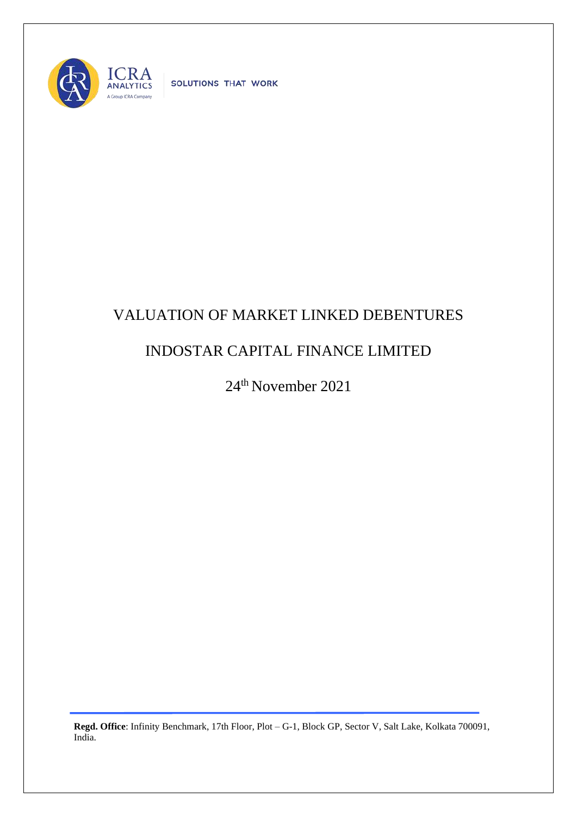

SOLUTIONS THAT WORK

## VALUATION OF MARKET LINKED DEBENTURES

## INDOSTAR CAPITAL FINANCE LIMITED

24th November 2021

**Regd. Office**: Infinity Benchmark, 17th Floor, Plot – G-1, Block GP, Sector V, Salt Lake, Kolkata 700091, India.